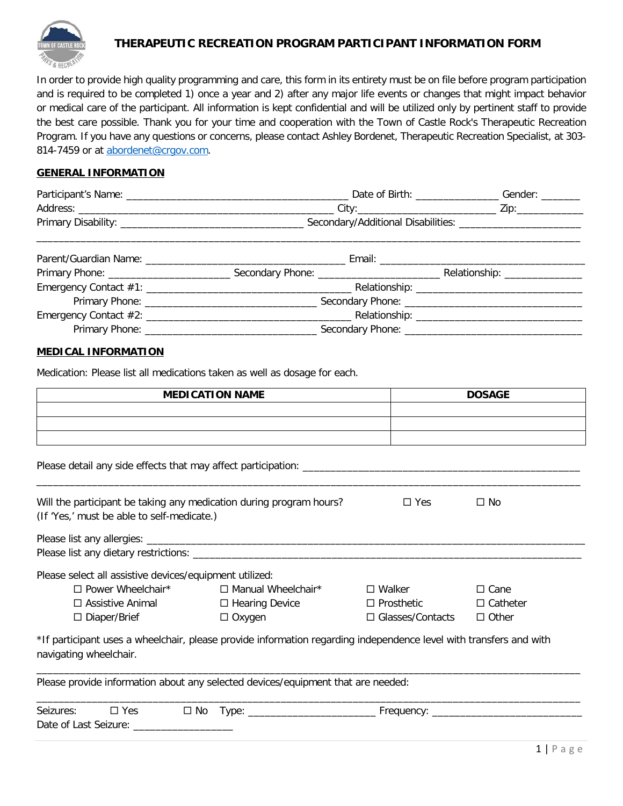

#### **THERAPEUTIC RECREATION PROGRAM PARTICIPANT INFORMATION FORM**

In order to provide high quality programming and care, this form in its entirety must be on file before program participation and is required to be completed 1) once a year and 2) after any major life events or changes that might impact behavior or medical care of the participant. All information is kept confidential and will be utilized only by pertinent staff to provide the best care possible. Thank you for your time and cooperation with the Town of Castle Rock's Therapeutic Recreation Program. If you have any questions or concerns, please contact Ashley Bordenet, Therapeutic Recreation Specialist, at 303- 814-7459 or at abordenet@crgov.com.

#### **GENERAL INFORMATION**

| Participant's Name: | Date of Birth:                     | Gender: |
|---------------------|------------------------------------|---------|
| Address:            | City:                              | /ir     |
| Primary Disability: | Secondary/Additional Disabilities: |         |
|                     |                                    |         |

| Parent/Guardian Name: 2008 2010 2020 2021 2022 2023 2024 2022 2023 2024 2022 2023 2024 2022 2023 2024 2022 20 | Email: Email: All and the state of the state of the state of the state of the state of the state of the state of the state of the state of the state of the state of the state of the state of the state of the state of the s |
|---------------------------------------------------------------------------------------------------------------|--------------------------------------------------------------------------------------------------------------------------------------------------------------------------------------------------------------------------------|
|                                                                                                               | Relationship: _______________                                                                                                                                                                                                  |
|                                                                                                               |                                                                                                                                                                                                                                |
|                                                                                                               |                                                                                                                                                                                                                                |
|                                                                                                               |                                                                                                                                                                                                                                |
|                                                                                                               |                                                                                                                                                                                                                                |

#### **MEDICAL INFORMATION**

Medication: Please list all medications taken as well as dosage for each.

| <b>MEDICATION NAME</b> | <b>DOSAGE</b> |
|------------------------|---------------|
|                        |               |
|                        |               |
|                        |               |

| --<br>any side<br>ettects<br>mav<br>ase r.<br>aneci<br>. |  |
|----------------------------------------------------------|--|
|                                                          |  |
|                                                          |  |

Will the participant be taking any medication during program hours?  $\square$  Yes  $\square$  No

| (If 'Yes,' must be able to self-medicate.)                                                                                                   |                       |                         |                 |
|----------------------------------------------------------------------------------------------------------------------------------------------|-----------------------|-------------------------|-----------------|
|                                                                                                                                              |                       |                         |                 |
|                                                                                                                                              |                       |                         |                 |
| Please select all assistive devices/equipment utilized:                                                                                      |                       |                         |                 |
| $\Box$ Power Wheelchair* $\Box$ Manual Wheelchair*                                                                                           |                       | $\square$ Walker        | $\Box$ Cane     |
| $\Box$ Assistive Animal                                                                                                                      | $\Box$ Hearing Device | $\Box$ Prosthetic       | $\Box$ Catheter |
| $\Box$ Diaper/Brief                                                                                                                          | $\Box$ Oxygen         | $\Box$ Glasses/Contacts | $\Box$ Other    |
| *If participant uses a wheelchair, please provide information regarding independence level with transfers and with<br>navigating wheelchair. |                       |                         |                 |
| Please provide information about any selected devices/equipment that are needed:                                                             |                       |                         |                 |
| Seizures:<br>$\square$ Yes                                                                                                                   |                       |                         |                 |
| Date of Last Seizure:                                                                                                                        |                       |                         |                 |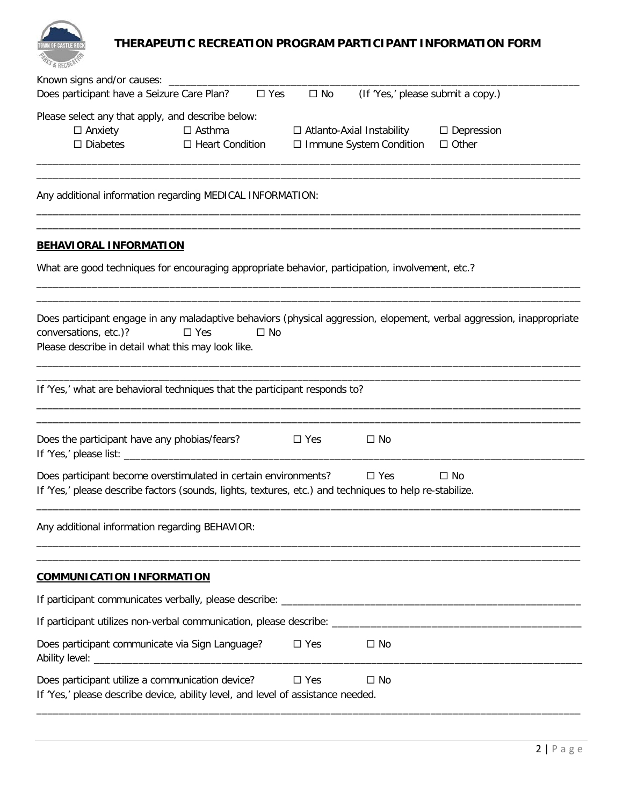

# **THERAPEUTIC RECREATION PROGRAM PARTICIPANT INFORMATION FORM**

| o & BECHEL                                                                                                                                                                                                                             |
|----------------------------------------------------------------------------------------------------------------------------------------------------------------------------------------------------------------------------------------|
| Known signs and/or causes: __________<br>Does participant have a Seizure Care Plan?<br>$\square$ Yes<br>$\square$ No<br>(If 'Yes,' please submit a copy.)                                                                              |
| Please select any that apply, and describe below:<br>$\Box$ Anxiety<br>$\Box$ Asthma<br>$\Box$ Depression<br>□ Atlanto-Axial Instability<br>$\square$ Diabetes<br>□ Immune System Condition<br>$\Box$ Heart Condition<br>$\Box$ Other  |
| Any additional information regarding MEDICAL INFORMATION:                                                                                                                                                                              |
| <b>BEHAVIORAL INFORMATION</b>                                                                                                                                                                                                          |
| What are good techniques for encouraging appropriate behavior, participation, involvement, etc.?                                                                                                                                       |
| Does participant engage in any maladaptive behaviors (physical aggression, elopement, verbal aggression, inappropriate<br>conversations, etc.)?<br>$\square$ Yes<br>$\square$ No<br>Please describe in detail what this may look like. |
| If 'Yes,' what are behavioral techniques that the participant responds to?                                                                                                                                                             |
| Does the participant have any phobias/fears?<br>$\Box$ Yes<br>$\Box$ No                                                                                                                                                                |
| Does participant become overstimulated in certain environments?<br>$\Box$ Yes<br>$\Box$ No<br>If 'Yes,' please describe factors (sounds, lights, textures, etc.) and techniques to help re-stabilize.                                  |
| Any additional information regarding BEHAVIOR:                                                                                                                                                                                         |
| <b>COMMUNICATION INFORMATION</b>                                                                                                                                                                                                       |
|                                                                                                                                                                                                                                        |
|                                                                                                                                                                                                                                        |
| Does participant communicate via Sign Language?<br>$\square$ Yes<br>$\Box$ No                                                                                                                                                          |
| Does participant utilize a communication device?<br>$\square$ Yes<br>$\square$ No<br>If 'Yes,' please describe device, ability level, and level of assistance needed.                                                                  |
|                                                                                                                                                                                                                                        |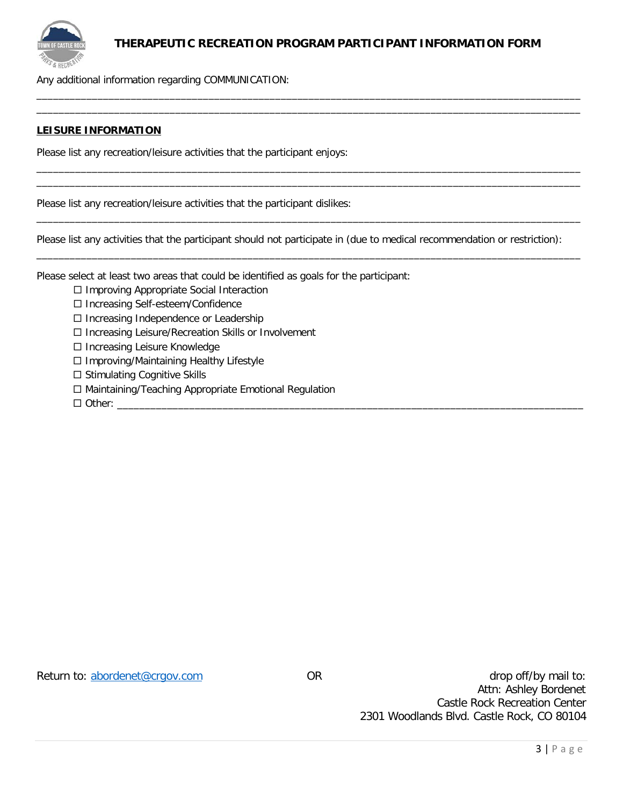

#### **THERAPEUTIC RECREATION PROGRAM PARTICIPANT INFORMATION FORM**

\_\_\_\_\_\_\_\_\_\_\_\_\_\_\_\_\_\_\_\_\_\_\_\_\_\_\_\_\_\_\_\_\_\_\_\_\_\_\_\_\_\_\_\_\_\_\_\_\_\_\_\_\_\_\_\_\_\_\_\_\_\_\_\_\_\_\_\_\_\_\_\_\_\_\_\_\_\_\_\_\_\_\_\_\_\_\_\_\_\_\_\_\_\_\_\_\_\_  $\overline{\phantom{a}}$  , and the set of the set of the set of the set of the set of the set of the set of the set of the set of the set of the set of the set of the set of the set of the set of the set of the set of the set of the s

\_\_\_\_\_\_\_\_\_\_\_\_\_\_\_\_\_\_\_\_\_\_\_\_\_\_\_\_\_\_\_\_\_\_\_\_\_\_\_\_\_\_\_\_\_\_\_\_\_\_\_\_\_\_\_\_\_\_\_\_\_\_\_\_\_\_\_\_\_\_\_\_\_\_\_\_\_\_\_\_\_\_\_\_\_\_\_\_\_\_\_\_\_\_\_\_\_\_ \_\_\_\_\_\_\_\_\_\_\_\_\_\_\_\_\_\_\_\_\_\_\_\_\_\_\_\_\_\_\_\_\_\_\_\_\_\_\_\_\_\_\_\_\_\_\_\_\_\_\_\_\_\_\_\_\_\_\_\_\_\_\_\_\_\_\_\_\_\_\_\_\_\_\_\_\_\_\_\_\_\_\_\_\_\_\_\_\_\_\_\_\_\_\_\_\_\_

\_\_\_\_\_\_\_\_\_\_\_\_\_\_\_\_\_\_\_\_\_\_\_\_\_\_\_\_\_\_\_\_\_\_\_\_\_\_\_\_\_\_\_\_\_\_\_\_\_\_\_\_\_\_\_\_\_\_\_\_\_\_\_\_\_\_\_\_\_\_\_\_\_\_\_\_\_\_\_\_\_\_\_\_\_\_\_\_\_\_\_\_\_\_\_\_\_\_

\_\_\_\_\_\_\_\_\_\_\_\_\_\_\_\_\_\_\_\_\_\_\_\_\_\_\_\_\_\_\_\_\_\_\_\_\_\_\_\_\_\_\_\_\_\_\_\_\_\_\_\_\_\_\_\_\_\_\_\_\_\_\_\_\_\_\_\_\_\_\_\_\_\_\_\_\_\_\_\_\_\_\_\_\_\_\_\_\_\_\_\_\_\_\_\_\_\_

Any additional information regarding COMMUNICATION:

#### **LEISURE INFORMATION**

Please list any recreation/leisure activities that the participant enjoys:

Please list any recreation/leisure activities that the participant dislikes:

Please list any activities that the participant should not participate in (due to medical recommendation or restriction):

Please select at least two areas that could be identified as goals for the participant:

- $\Box$  Improving Appropriate Social Interaction
- □ Increasing Self-esteem/Confidence
- □ Increasing Independence or Leadership
- Increasing Leisure/Recreation Skills or Involvement
- □ Increasing Leisure Knowledge
- □ Improving/Maintaining Healthy Lifestyle
- $\square$  Stimulating Cognitive Skills
- □ Maintaining/Teaching Appropriate Emotional Regulation

Other: \_\_\_\_\_\_\_\_\_\_\_\_\_\_\_\_\_\_\_\_\_\_\_\_\_\_\_\_\_\_\_\_\_\_\_\_\_\_\_\_\_\_\_\_\_\_\_\_\_\_\_\_\_\_\_\_\_\_\_\_\_\_\_\_\_\_\_\_\_\_\_\_\_\_\_\_\_\_\_\_\_\_\_\_

Return to: **abordenet@crgov.com** OR OR drop off/by mail to: Attn: Ashley Bordenet Castle Rock Recreation Center 2301 Woodlands Blvd. Castle Rock, CO 80104